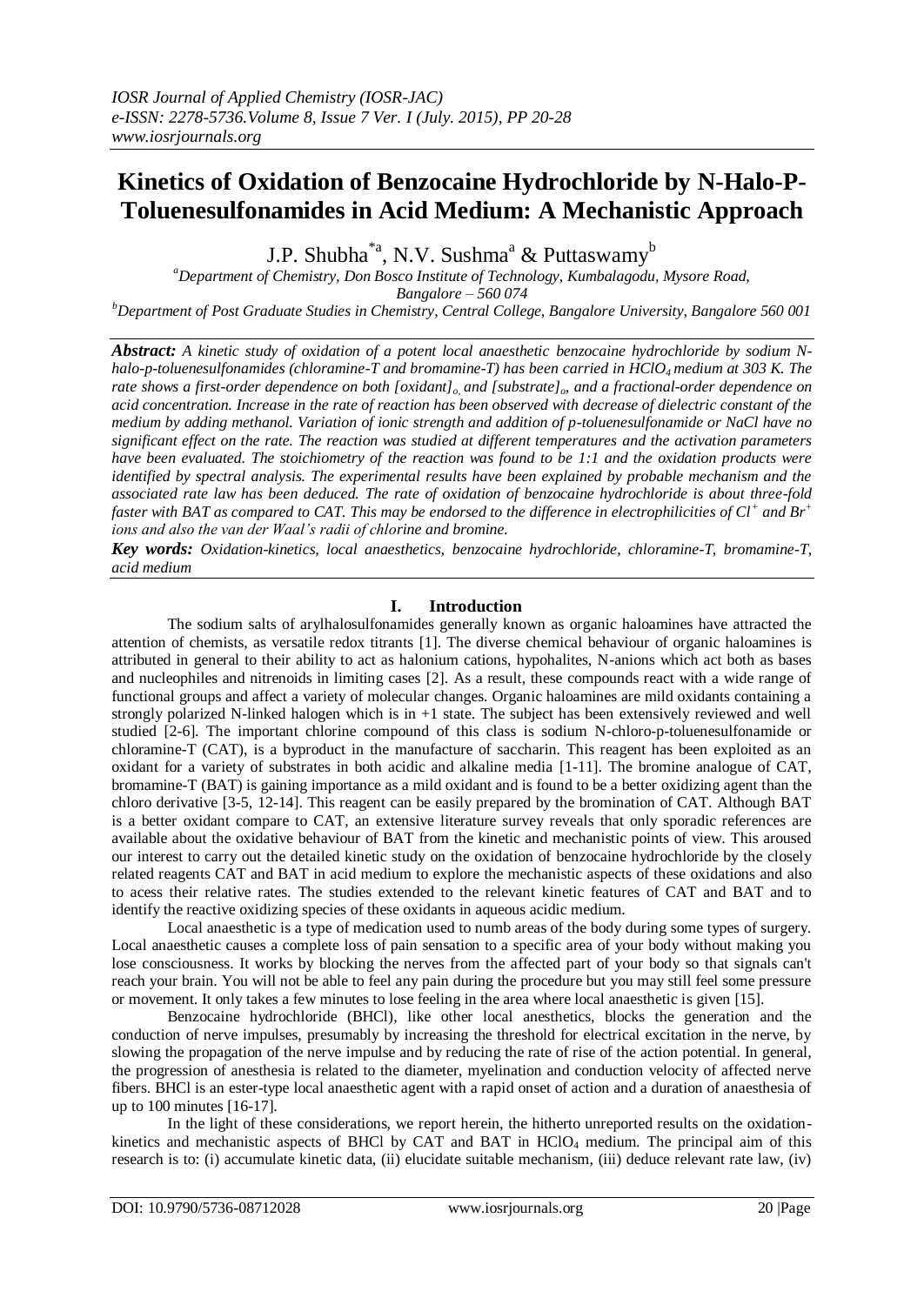# **Kinetics of Oxidation of Benzocaine Hydrochloride by N-Halo-P-Toluenesulfonamides in Acid Medium: A Mechanistic Approach**

J.P. Shubha\*a, N.V. Sushma $^a$  & Puttaswamy<sup>b</sup>

*<sup>a</sup>Department of Chemistry, Don Bosco Institute of Technology, Kumbalagodu, Mysore Road, Bangalore – 560 074*

*<sup>b</sup>Department of Post Graduate Studies in Chemistry, Central College, Bangalore University, Bangalore 560 001*

*Abstract: A kinetic study of oxidation of a potent local anaesthetic benzocaine hydrochloride by sodium Nhalo-p-toluenesulfonamides (chloramine-T and bromamine-T) has been carried in HClO4 medium at 303 K. The rate shows a first-order dependence on both [oxidant]o, and [substrate]o, and a fractional-order dependence on acid concentration. Increase in the rate of reaction has been observed with decrease of dielectric constant of the medium by adding methanol. Variation of ionic strength and addition of p-toluenesulfonamide or NaCl have no significant effect on the rate. The reaction was studied at different temperatures and the activation parameters have been evaluated. The stoichiometry of the reaction was found to be 1:1 and the oxidation products were identified by spectral analysis. The experimental results have been explained by probable mechanism and the associated rate law has been deduced. The rate of oxidation of benzocaine hydrochloride is about three-fold faster with BAT as compared to CAT. This may be endorsed to the difference in electrophilicities of Cl<sup>+</sup> and Br<sup>+</sup> ions and also the van der Waal's radii of chlorine and bromine.* 

*Key words: Oxidation-kinetics, local anaesthetics, benzocaine hydrochloride, chloramine-T, bromamine-T, acid medium*

## **I. Introduction**

The sodium salts of arylhalosulfonamides generally known as organic haloamines have attracted the attention of chemists, as versatile redox titrants [1]. The diverse chemical behaviour of organic haloamines is attributed in general to their ability to act as halonium cations, hypohalites, N-anions which act both as bases and nucleophiles and nitrenoids in limiting cases [2]. As a result, these compounds react with a wide range of functional groups and affect a variety of molecular changes. Organic haloamines are mild oxidants containing a strongly polarized N-linked halogen which is in +1 state. The subject has been extensively reviewed and well studied [2-6]. The important chlorine compound of this class is sodium N-chloro-p-toluenesulfonamide or chloramine-T (CAT), is a byproduct in the manufacture of saccharin. This reagent has been exploited as an oxidant for a variety of substrates in both acidic and alkaline media [1-11]. The bromine analogue of CAT, bromamine-T (BAT) is gaining importance as a mild oxidant and is found to be a better oxidizing agent than the chloro derivative [3-5, 12-14]. This reagent can be easily prepared by the bromination of CAT. Although BAT is a better oxidant compare to CAT, an extensive literature survey reveals that only sporadic references are available about the oxidative behaviour of BAT from the kinetic and mechanistic points of view. This aroused our interest to carry out the detailed kinetic study on the oxidation of benzocaine hydrochloride by the closely related reagents CAT and BAT in acid medium to explore the mechanistic aspects of these oxidations and also to acess their relative rates. The studies extended to the relevant kinetic features of CAT and BAT and to identify the reactive oxidizing species of these oxidants in aqueous acidic medium.

Local anaesthetic is a type of medication used to numb areas of the body during some types of surgery. Local anaesthetic causes a complete loss of pain sensation to a specific area of your body without making you lose consciousness. It works by blocking the nerves from the affected part of your body so that signals can't reach your brain. You will not be able to feel any pain during the procedure but you may still feel some pressure or movement. It only takes a few minutes to lose feeling in the area where local anaesthetic is given [15].

Benzocaine hydrochloride (BHCl), like other local anesthetics, blocks the generation and the conduction of nerve impulses, presumably by increasing the threshold for electrical excitation in the nerve, by slowing the propagation of the nerve impulse and by reducing the rate of rise of the action potential. In general, the progression of anesthesia is related to the diameter, myelination and conduction velocity of affected nerve fibers. BHCl is an ester-type local anaesthetic agent with a rapid onset of action and a duration of anaesthesia of up to 100 minutes [16-17].

In the light of these considerations, we report herein, the hitherto unreported results on the oxidationkinetics and mechanistic aspects of BHCl by CAT and BAT in HClO<sub>4</sub> medium. The principal aim of this research is to: (i) accumulate kinetic data, (ii) elucidate suitable mechanism, (iii) deduce relevant rate law, (iv)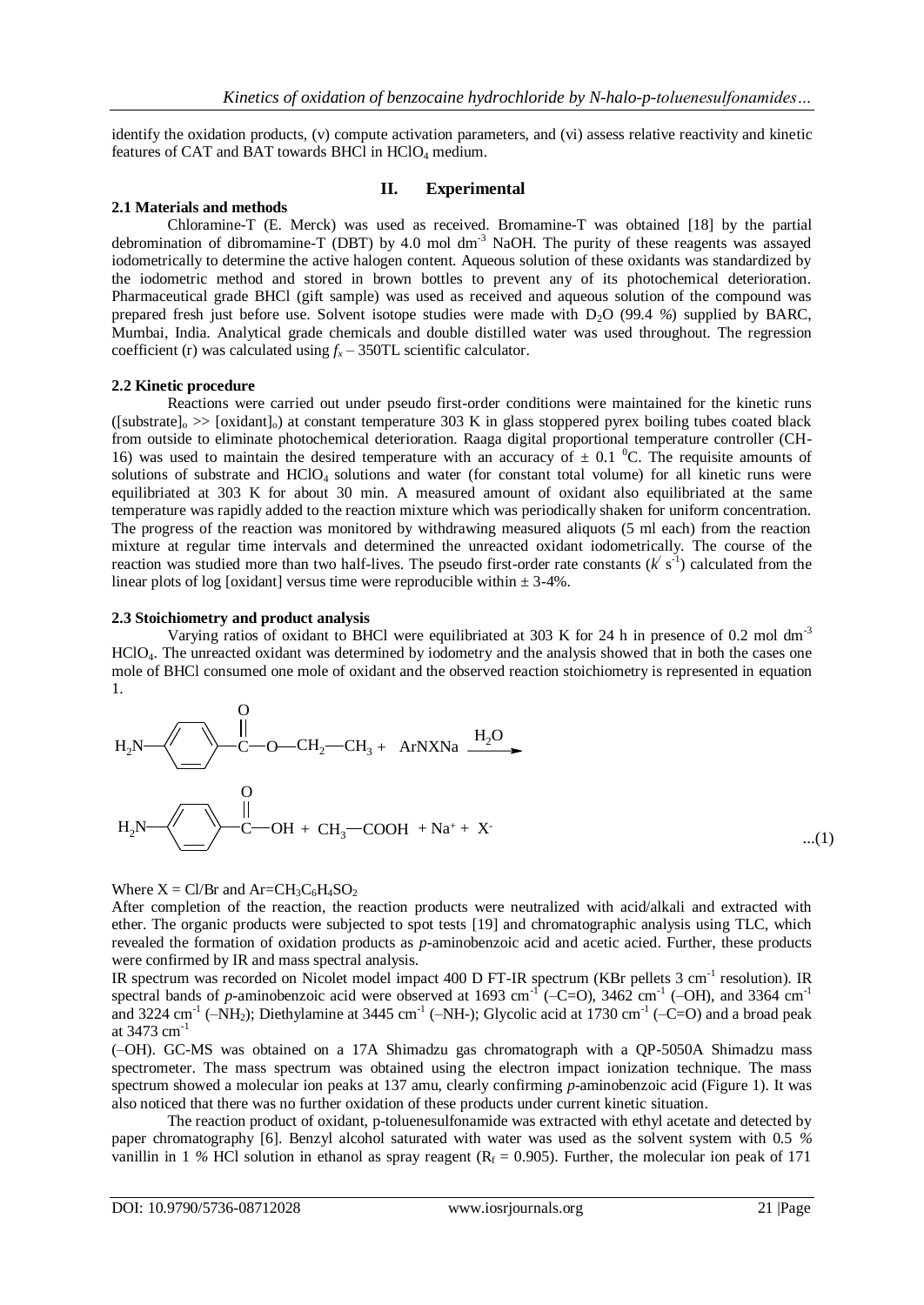identify the oxidation products, (v) compute activation parameters, and (vi) assess relative reactivity and kinetic features of CAT and BAT towards BHCl in  $HClO<sub>4</sub>$  medium.

## **II. Experimental**

#### **2.1 Materials and methods**

Chloramine-T (E. Merck) was used as received. Bromamine-T was obtained [18] by the partial debromination of dibromamine-T (DBT) by 4.0 mol dm-3 NaOH. The purity of these reagents was assayed iodometrically to determine the active halogen content. Aqueous solution of these oxidants was standardized by the iodometric method and stored in brown bottles to prevent any of its photochemical deterioration. Pharmaceutical grade BHCl (gift sample) was used as received and aqueous solution of the compound was prepared fresh just before use. Solvent isotope studies were made with D2O (99.4 *%*) supplied by BARC, Mumbai, India. Analytical grade chemicals and double distilled water was used throughout. The regression coefficient (r) was calculated using  $f<sub>x</sub>$  – 350TL scientific calculator.

#### **2.2 Kinetic procedure**

Reactions were carried out under pseudo first-order conditions were maintained for the kinetic runs  $(\text{Substrate}]_{\circ}$   $\gg$  [oxidant] $_{\circ}$ ) at constant temperature 303 K in glass stoppered pyrex boiling tubes coated black from outside to eliminate photochemical deterioration. Raaga digital proportional temperature controller (CH-16) was used to maintain the desired temperature with an accuracy of  $\pm$  0.1 <sup>o</sup>C. The requisite amounts of solutions of substrate and  $HClO<sub>4</sub>$  solutions and water (for constant total volume) for all kinetic runs were equilibriated at 303 K for about 30 min. A measured amount of oxidant also equilibriated at the same temperature was rapidly added to the reaction mixture which was periodically shaken for uniform concentration. The progress of the reaction was monitored by withdrawing measured aliquots (5 ml each) from the reaction mixture at regular time intervals and determined the unreacted oxidant iodometrically. The course of the reaction was studied more than two half-lives. The pseudo first-order rate constants  $(k^{\prime} s^{-1})$  calculated from the linear plots of log [oxidant] versus time were reproducible within  $\pm$  3-4%.

#### **2.3 Stoichiometry and product analysis**

Varying ratios of oxidant to BHCl were equilibriated at 303 K for 24 h in presence of 0.2 mol dm<sup>-3</sup> HClO4. The unreacted oxidant was determined by iodometry and the analysis showed that in both the cases one mole of BHCl consumed one mole of oxidant and the observed reaction stoichiometry is represented in equation 1.

$$
H_2N
$$
  
\n $H_2N$   
\n $H_2N$   
\n $H_2N$   
\n $H_2N$   
\n $H_2N$   
\n $H_2N$   
\n $H_2N$   
\n $H_2N$   
\n $H_2N$   
\n $H_2N$   
\n $H_2N$   
\n $H_2N$   
\n $H_2N$   
\n $H_2N$   
\n $H_2N$   
\n $H_2N$   
\n $H_2N$   
\n $H_2N$   
\n $H_2N$   
\n $H_2N$   
\n $H_2N$   
\n $H_2N$   
\n $H_2N$   
\n $H_2N$   
\n $H_2N$   
\n $H_2N$   
\n $H_2N$   
\n $H_2N$   
\n $H_2N$   
\n $H_2N$   
\n $H_2N$   
\n $H_2N$   
\n $H_2N$   
\n $H_2N$   
\n $H_2N$   
\n $H_2N$   
\n $H_2N$   
\n $H_2N$   
\n $H_2N$   
\n $H_2N$   
\n $H_2N$ 

Where  $X = Cl/Br$  and  $Ar = CH_3C_6H_4SO_2$ 

After completion of the reaction, the reaction products were neutralized with acid/alkali and extracted with ether. The organic products were subjected to spot tests [19] and chromatographic analysis using TLC, which revealed the formation of oxidation products as *p*-aminobenzoic acid and acetic acied. Further, these products were confirmed by IR and mass spectral analysis.

IR spectrum was recorded on Nicolet model impact 400 D FT-IR spectrum (KBr pellets 3 cm<sup>-1</sup> resolution). IR spectral bands of *p*-aminobenzoic acid were observed at 1693 cm<sup>-1</sup> (-C=O), 3462 cm<sup>-1</sup> (-OH), and 3364 cm<sup>-1</sup> and 3224 cm<sup>-1</sup> ( $-NH<sub>2</sub>$ ); Diethylamine at 3445 cm<sup>-1</sup> ( $-NH<sub>-</sub>$ ); Glycolic acid at 1730 cm<sup>-1</sup> ( $-C=O$ ) and a broad peak at  $3473$  cm<sup>-1</sup>

(–OH). GC-MS was obtained on a 17A Shimadzu gas chromatograph with a QP-5050A Shimadzu mass spectrometer. The mass spectrum was obtained using the electron impact ionization technique. The mass spectrum showed a molecular ion peaks at 137 amu, clearly confirming *p*-aminobenzoic acid (Figure 1). It was also noticed that there was no further oxidation of these products under current kinetic situation.

The reaction product of oxidant, p-toluenesulfonamide was extracted with ethyl acetate and detected by paper chromatography [6]. Benzyl alcohol saturated with water was used as the solvent system with 0.5 *%*  vanillin in 1 % HCl solution in ethanol as spray reagent  $(R_f = 0.905)$ . Further, the molecular ion peak of 171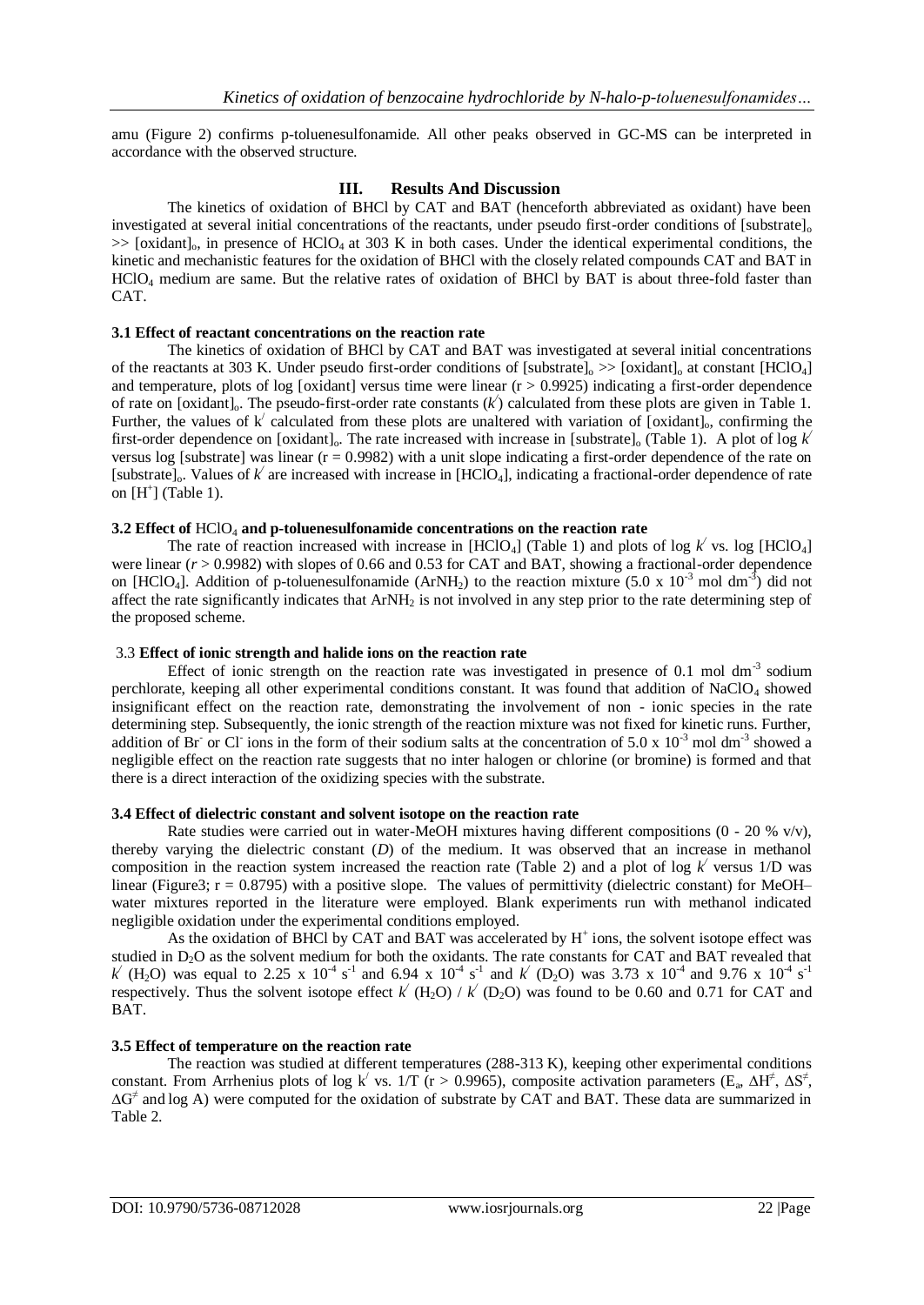amu (Figure 2) confirms p-toluenesulfonamide. All other peaks observed in GC-MS can be interpreted in accordance with the observed structure.

## **III. Results And Discussion**

The kinetics of oxidation of BHCl by CAT and BAT (henceforth abbreviated as oxidant) have been investigated at several initial concentrations of the reactants, under pseudo first-order conditions of  $[substrate]_0$  $\gg$  [oxidant]<sub>0</sub>, in presence of HClO<sub>4</sub> at 303 K in both cases. Under the identical experimental conditions, the kinetic and mechanistic features for the oxidation of BHCl with the closely related compounds CAT and BAT in HClO<sup>4</sup> medium are same. But the relative rates of oxidation of BHCl by BAT is about three-fold faster than CAT.

#### **3.1 Effect of reactant concentrations on the reaction rate**

The kinetics of oxidation of BHCl by CAT and BAT was investigated at several initial concentrations of the reactants at 303 K. Under pseudo first-order conditions of [substrate] $_0 \gg$  [oxidant] $_0$  at constant [HClO<sub>4</sub>] and temperature, plots of log [oxidant] versus time were linear  $(r > 0.9925)$  indicating a first-order dependence of rate on [oxidant]<sub>0</sub>. The pseudo-first-order rate constants  $(k')$  calculated from these plots are given in Table 1. Further, the values of  $k'$  calculated from these plots are unaltered with variation of [oxidant]<sub>0</sub>, confirming the first-order dependence on [oxidant] $_0$ . The rate increased with increase in [substrate] $_0$  (Table 1). A plot of log  $k$ versus log [substrate] was linear  $(r = 0.9982)$  with a unit slope indicating a first-order dependence of the rate on [substrate]<sub>o</sub>. Values of  $k'$  are increased with increase in [HClO<sub>4</sub>], indicating a fractional-order dependence of rate on  $[H^+]$  (Table 1).

## **3.2 Effect of** HClO<sup>4</sup> **and p-toluenesulfonamide concentrations on the reaction rate**

The rate of reaction increased with increase in [HClO<sub>4</sub>] (Table 1) and plots of log  $k'$  vs. log [HClO<sub>4</sub>] were linear ( $r > 0.9982$ ) with slopes of 0.66 and 0.53 for CAT and BAT, showing a fractional-order dependence on [HClO<sub>4</sub>]. Addition of p-toluenesulfonamide (ArNH<sub>2</sub>) to the reaction mixture (5.0 x 10<sup>-3</sup> mol dm<sup>-3</sup>) did not affect the rate significantly indicates that ArNH<sup>2</sup> is not involved in any step prior to the rate determining step of the proposed scheme.

## 3.3 **Effect of ionic strength and halide ions on the reaction rate**

Effect of ionic strength on the reaction rate was investigated in presence of 0.1 mol  $dm<sup>-3</sup>$  sodium perchlorate, keeping all other experimental conditions constant. It was found that addition of NaClO<sub>4</sub> showed insignificant effect on the reaction rate, demonstrating the involvement of non - ionic species in the rate determining step. Subsequently, the ionic strength of the reaction mixture was not fixed for kinetic runs. Further, addition of Br<sup>-</sup> or Cl<sup>-</sup> ions in the form of their sodium salts at the concentration of 5.0 x  $10^{-3}$  mol dm<sup>-3</sup> showed a negligible effect on the reaction rate suggests that no inter halogen or chlorine (or bromine) is formed and that there is a direct interaction of the oxidizing species with the substrate.

#### **3.4 Effect of dielectric constant and solvent isotope on the reaction rate**

Rate studies were carried out in water-MeOH mixtures having different compositions  $(0 - 20\% \text{ v/v})$ , thereby varying the dielectric constant (*D*) of the medium. It was observed that an increase in methanol composition in the reaction system increased the reaction rate (Table 2) and a plot of log  $k'$  versus 1/D was linear (Figure3;  $r = 0.8795$ ) with a positive slope. The values of permittivity (dielectric constant) for MeOH– water mixtures reported in the literature were employed. Blank experiments run with methanol indicated negligible oxidation under the experimental conditions employed.

As the oxidation of BHCl by CAT and BAT was accelerated by  $H^+$  ions, the solvent isotope effect was studied in D<sub>2</sub>O as the solvent medium for both the oxidants. The rate constants for CAT and BAT revealed that *k*<sup></sup> (H<sub>2</sub>O) was equal to 2.25 x 10<sup>-4</sup> s<sup>-1</sup> and 6.94 x 10<sup>-4</sup> s<sup>-1</sup> and *k*<sup> $\prime$ </sup> (D<sub>2</sub>O) was 3.73 x 10<sup>-4</sup> and 9.76 x 10<sup>-4</sup> s<sup>-1</sup> respectively. Thus the solvent isotope effect  $k'$  (H<sub>2</sub>O) /  $k'$  (D<sub>2</sub>O) was found to be 0.60 and 0.71 for CAT and BAT.

## **3.5 Effect of temperature on the reaction rate**

The reaction was studied at different temperatures (288-313 K), keeping other experimental conditions constant. From Arrhenius plots of log k<sup>/</sup> vs. 1/T (r > 0.9965), composite activation parameters (E<sub>a</sub>,  $\Delta H^{\neq}$ ,  $\Delta S^{\neq}$ , ∆G<sup>≠</sup> and log A) were computed for the oxidation of substrate by CAT and BAT. These data are summarized in Table 2.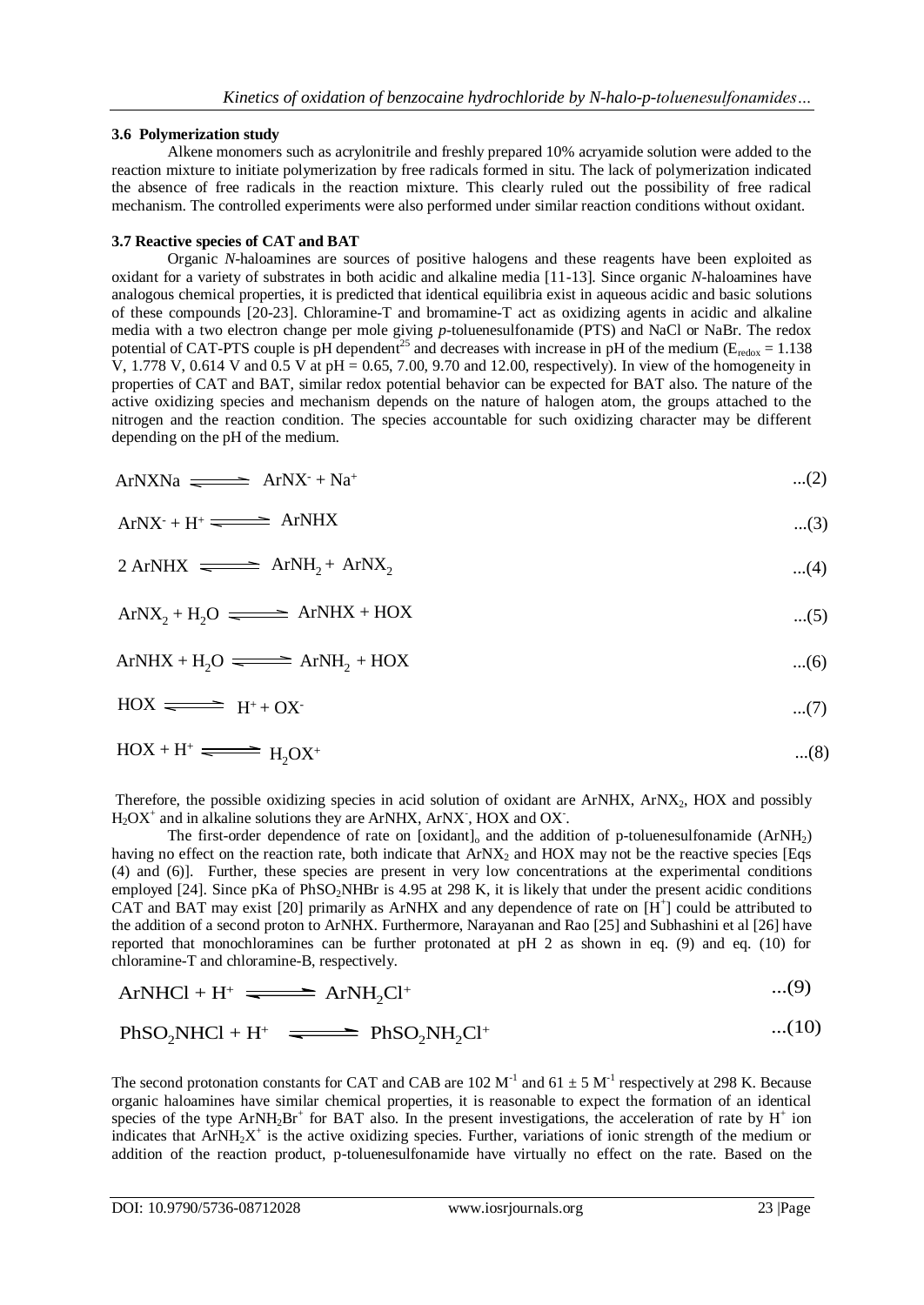## **3.6 Polymerization study**

Alkene monomers such as acrylonitrile and freshly prepared 10% acryamide solution were added to the reaction mixture to initiate polymerization by free radicals formed in situ. The lack of polymerization indicated the absence of free radicals in the reaction mixture. This clearly ruled out the possibility of free radical mechanism. The controlled experiments were also performed under similar reaction conditions without oxidant.

## **3.7 Reactive species of CAT and BAT**

Organic *N*-haloamines are sources of positive halogens and these reagents have been exploited as oxidant for a variety of substrates in both acidic and alkaline media [11-13]. Since organic *N*-haloamines have analogous chemical properties, it is predicted that identical equilibria exist in aqueous acidic and basic solutions of these compounds [20-23]. Chloramine-T and bromamine-T act as oxidizing agents in acidic and alkaline media with a two electron change per mole giving *p*-toluenesulfonamide (PTS) and NaCl or NaBr. The redox potential of CAT-PTS couple is pH dependent<sup>25</sup> and decreases with increase in pH of the medium ( $E_{\text{redox}} = 1.138$ ) V, 1.778 V, 0.614 V and 0.5 V at pH = 0.65, 7.00, 9.70 and 12.00, respectively). In view of the homogeneity in properties of CAT and BAT, similar redox potential behavior can be expected for BAT also. The nature of the active oxidizing species and mechanism depends on the nature of halogen atom, the groups attached to the nitrogen and the reaction condition. The species accountable for such oxidizing character may be different depending on the pH of the medium.

$$
ArNXNa \implies ArNX + Na^+ \qquad \qquad ...(2)
$$

$$
ArNX+ + H+ \longrightarrow ArNHX
$$
...(3)

$$
2 ArNHX \implies ArNH_2 + ArNN_2 \qquad \qquad \dots (4)
$$

$$
ArNX2 + H2O \n\overbrace{\qquad \qquad} \text{ArNHX} + HOX \n\qquad \qquad ...(5)
$$

$$
ArNHX + H_2O \implies ArNH_2 + HOX \qquad ...(6)
$$

$$
HOX \xrightarrow{\qquad \qquad } H^+ + OX^-
$$

$$
HOX + H^+ \xrightarrow{\text{---}} H_2OX^+ \qquad \qquad \dots (8)
$$

Therefore, the possible oxidizing species in acid solution of oxidant are ArNHX, ArNX<sub>2</sub>, HOX and possibly  $H<sub>2</sub>OX<sup>+</sup>$  and in alkaline solutions they are ArNHX, ArNX<sup>-</sup>, HOX and OX<sup>-</sup>.

The first-order dependence of rate on [oxidant] $_0$  and the addition of p-toluenesulfonamide (ArNH<sub>2</sub>) having no effect on the reaction rate, both indicate that  $ArNX<sub>2</sub>$  and HOX may not be the reactive species [Eqs (4) and (6)]. Further, these species are present in very low concentrations at the experimental conditions employed [24]. Since pKa of PhSO<sub>2</sub>NHBr is 4.95 at 298 K, it is likely that under the present acidic conditions CAT and BAT may exist [20] primarily as ArNHX and any dependence of rate on [H<sup>+</sup>] could be attributed to the addition of a second proton to ArNHX. Furthermore, Narayanan and Rao [25] and Subhashini et al [26] have reported that monochloramines can be further protonated at pH 2 as shown in eq. (9) and eq. (10) for chloramine-T and chloramine-B, respectively.

$$
ArNHCl + H^{+} \implies ArNH_{2}Cl^{+} \qquad \qquad ...(9)
$$

$$
PhSO_2NHCl + H^+ \quad \Longleftrightarrow \quad PhSO_2NH_2Cl^+ \qquad \qquad \dots (10)
$$

The second protonation constants for CAT and CAB are 102  $M^{-1}$  and 61  $\pm$  5  $M^{-1}$  respectively at 298 K. Because organic haloamines have similar chemical properties, it is reasonable to expect the formation of an identical species of the type ArNH<sub>2</sub>Br<sup>+</sup> for BAT also. In the present investigations, the acceleration of rate by H<sup>+</sup> ion indicates that  $ArNH<sub>2</sub>X<sup>+</sup>$  is the active oxidizing species. Further, variations of ionic strength of the medium or addition of the reaction product, p-toluenesulfonamide have virtually no effect on the rate. Based on the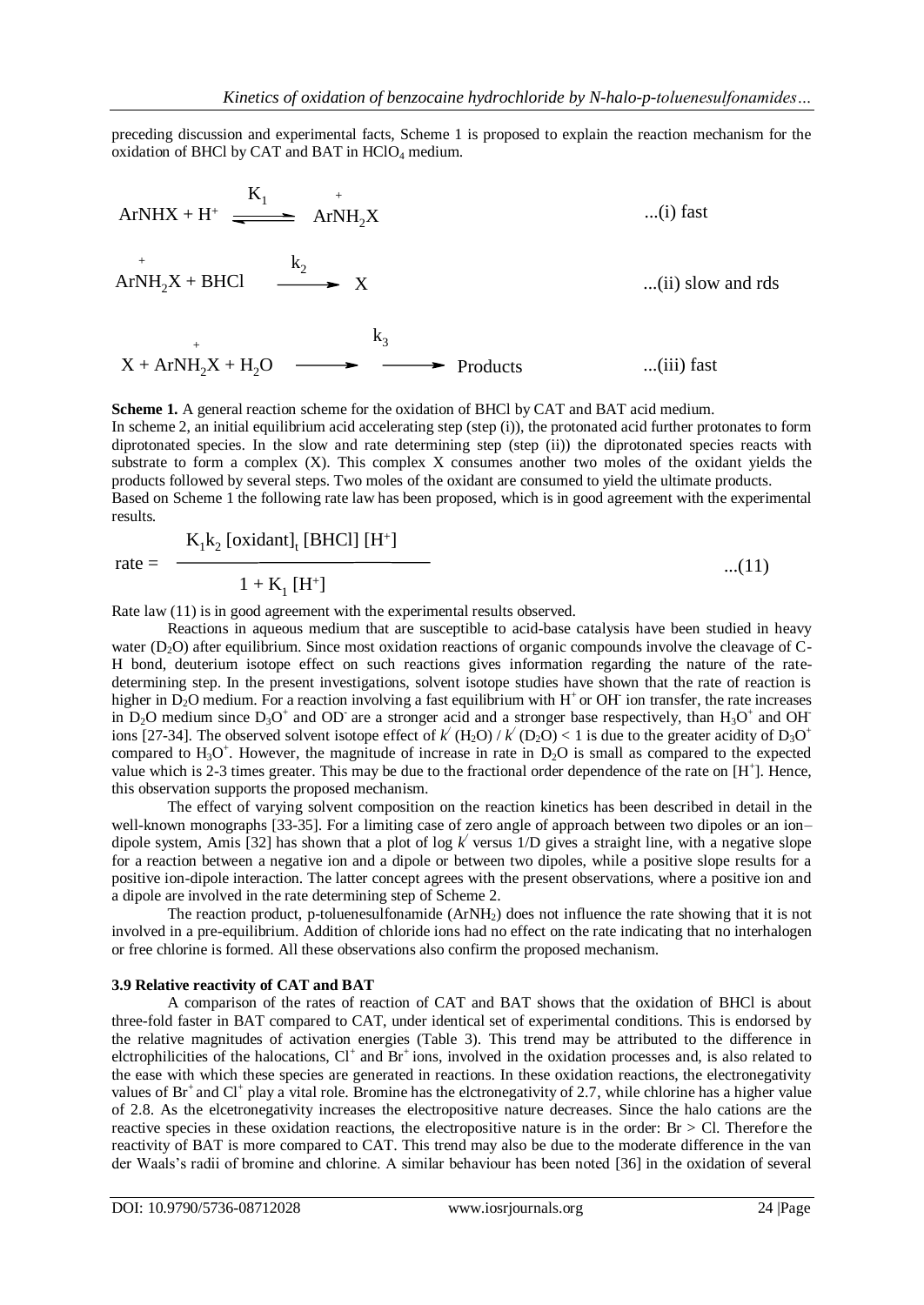preceding discussion and experimental facts, Scheme 1 is proposed to explain the reaction mechanism for the oxidation of BHCl by CAT and BAT in  $HClO<sub>4</sub>$  medium.



**Scheme 1.** A general reaction scheme for the oxidation of BHCl by CAT and BAT acid medium. In scheme 2, an initial equilibrium acid accelerating step (step (i)), the protonated acid further protonates to form diprotonated species. In the slow and rate determining step (step (ii)) the diprotonated species reacts with substrate to form a complex (X). This complex X consumes another two moles of the oxidant yields the products followed by several steps. Two moles of the oxidant are consumed to yield the ultimate products. Based on Scheme 1 the following rate law has been proposed, which is in good agreement with the experimental results.

$$
\frac{K_1k_2 \text{ [oxidant]}_t \text{ [BHC1] [H^+]}}{1 + K_1 \text{ [H^+]}}
$$
...(11)

Rate law (11) is in good agreement with the experimental results observed.

Reactions in aqueous medium that are susceptible to acid-base catalysis have been studied in heavy water  $(D_2O)$  after equilibrium. Since most oxidation reactions of organic compounds involve the cleavage of C-H bond, deuterium isotope effect on such reactions gives information regarding the nature of the ratedetermining step. In the present investigations, solvent isotope studies have shown that the rate of reaction is higher in  $D_2O$  medium. For a reaction involving a fast equilibrium with  $H^+$  or OH ion transfer, the rate increases in  $D_2O$  medium since  $D_3O^+$  and OD are a stronger acid and a stronger base respectively, than  $H_3O^+$  and OH ions [27-34]. The observed solvent isotope effect of  $k'(H_2O) / k'(D_2O) < 1$  is due to the greater acidity of  $D_3O^+$ compared to  $H_3O^+$ . However, the magnitude of increase in rate in  $D_2O$  is small as compared to the expected value which is 2-3 times greater. This may be due to the fractional order dependence of the rate on  $[H^+]$ . Hence, this observation supports the proposed mechanism.

The effect of varying solvent composition on the reaction kinetics has been described in detail in the well-known monographs [33-35]. For a limiting case of zero angle of approach between two dipoles or an ion– dipole system, Amis [32] has shown that a plot of log  $k'$  versus 1/D gives a straight line, with a negative slope for a reaction between a negative ion and a dipole or between two dipoles, while a positive slope results for a positive ion-dipole interaction. The latter concept agrees with the present observations, where a positive ion and a dipole are involved in the rate determining step of Scheme 2.

The reaction product, p-toluenesulfonamide  $(ArNH<sub>2</sub>)$  does not influence the rate showing that it is not involved in a pre-equilibrium. Addition of chloride ions had no effect on the rate indicating that no interhalogen or free chlorine is formed. All these observations also confirm the proposed mechanism.

#### **3.9 Relative reactivity of CAT and BAT**

 $rate =$ 

A comparison of the rates of reaction of CAT and BAT shows that the oxidation of BHCl is about three-fold faster in BAT compared to CAT, under identical set of experimental conditions. This is endorsed by the relative magnitudes of activation energies (Table 3). This trend may be attributed to the difference in elctrophilicities of the halocations, Cl<sup>+</sup> and Br<sup>+</sup>ions, involved in the oxidation processes and, is also related to the ease with which these species are generated in reactions. In these oxidation reactions, the electronegativity values of  $Br^+$  and  $Cl^+$  play a vital role. Bromine has the elctronegativity of 2.7, while chlorine has a higher value of 2.8. As the elcetronegativity increases the electropositive nature decreases. Since the halo cations are the reactive species in these oxidation reactions, the electropositive nature is in the order: Br > Cl. Therefore the reactivity of BAT is more compared to CAT. This trend may also be due to the moderate difference in the van der Waals's radii of bromine and chlorine. A similar behaviour has been noted [36] in the oxidation of several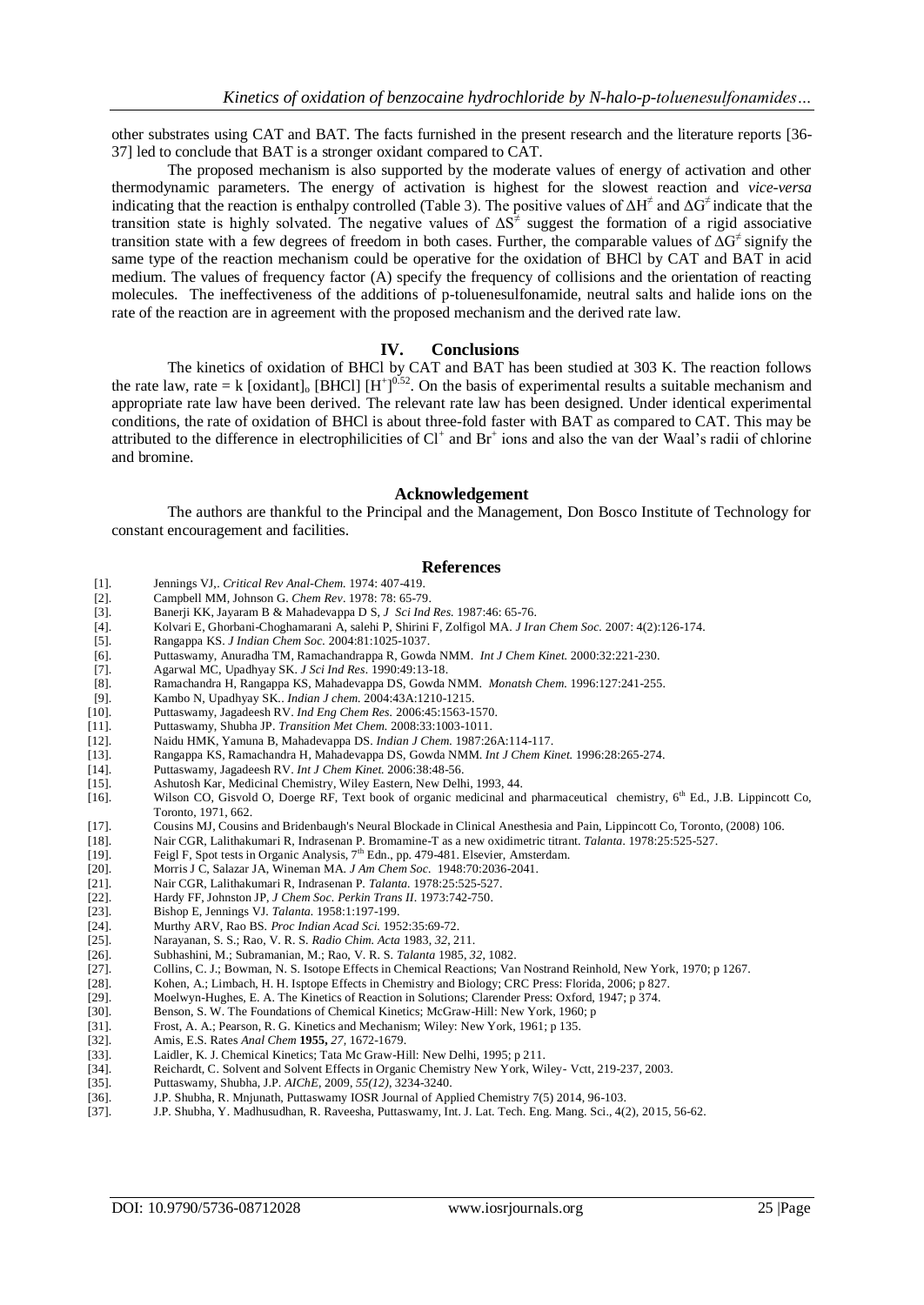other substrates using CAT and BAT. The facts furnished in the present research and the literature reports [36- 37] led to conclude that BAT is a stronger oxidant compared to CAT.

The proposed mechanism is also supported by the moderate values of energy of activation and other thermodynamic parameters. The energy of activation is highest for the slowest reaction and *vice-versa* indicating that the reaction is enthalpy controlled (Table 3). The positive values of ΔH*<sup>≠</sup>* and ΔG*<sup>≠</sup>*indicate that the transition state is highly solvated. The negative values of ΔS*<sup>≠</sup>* suggest the formation of a rigid associative transition state with a few degrees of freedom in both cases. Further, the comparable values of ΔG*<sup>≠</sup>*signify the same type of the reaction mechanism could be operative for the oxidation of BHCl by CAT and BAT in acid medium. The values of frequency factor (A) specify the frequency of collisions and the orientation of reacting molecules. The ineffectiveness of the additions of p-toluenesulfonamide, neutral salts and halide ions on the rate of the reaction are in agreement with the proposed mechanism and the derived rate law.

#### **IV. Conclusions**

The kinetics of oxidation of BHCl by CAT and BAT has been studied at 303 K. The reaction follows the rate law, rate = k [oxidant]<sub>o</sub> [BHCl]  $[H^+]^{0.52}$ . On the basis of experimental results a suitable mechanism and appropriate rate law have been derived. The relevant rate law has been designed. Under identical experimental conditions, the rate of oxidation of BHCl is about three-fold faster with BAT as compared to CAT. This may be attributed to the difference in electrophilicities of  $Cl^+$  and  $Br^+$  ions and also the van der Waal's radii of chlorine and bromine.

#### **Acknowledgement**

The authors are thankful to the Principal and the Management, Don Bosco Institute of Technology for constant encouragement and facilities.

#### **References**

- [1]. Jennings VJ,. *Critical Rev Anal-Chem.* 1974: 407-419.
- [2]. Campbell MM, Johnson G. *Chem Rev*. 1978: 78: 65-79.
- [3]. Banerji KK, Jayaram B & Mahadevappa D S, *J Sci Ind Res.* 1987:46: 65-76.
- [4]. Kolvari E, Ghorbani-Choghamarani A, salehi P, Shirini F, Zolfigol MA. *J Iran Chem Soc.* 2007: 4(2):126-174.
- [5]. Rangappa KS. *J Indian Chem Soc.* 2004:81:1025-1037.
- [6]. Puttaswamy, Anuradha TM, Ramachandrappa R, Gowda NMM. *Int J Chem Kinet.* 2000:32:221-230.
- [7]. Agarwal MC, Upadhyay SK. *J Sci Ind Res.* 1990:49:13-18.
- [8]. Ramachandra H, Rangappa KS, Mahadevappa DS, Gowda NMM. *Monatsh Chem.* 1996:127:241-255.
- [9]. Kambo N, Upadhyay SK.. *Indian J chem.* 2004:43A:1210-1215.
- [10]. Puttaswamy, Jagadeesh RV. *Ind Eng Chem Res.* 2006:45:1563-1570.
- [11]. Puttaswamy, Shubha JP. *Transition Met Chem.* 2008:33:1003-1011.
- [12]. Naidu HMK, Yamuna B, Mahadevappa DS. *Indian J Chem.* 1987:26A:114-117.
- [13]. Rangappa KS, Ramachandra H, Mahadevappa DS, Gowda NMM. *Int J Chem Kinet.* 1996:28:265-274.
- [14]. Puttaswamy, Jagadeesh RV. *Int J Chem Kinet.* 2006:38:48-56.
- 
- [15]. Ashutosh Kar, Medicinal Chemistry, Wiley Eastern, New Delhi, 1993, 44.<br>[16]. Wilson CO, Gisvold O, Doerge RF, Text book of organic medicinal and pharmaceutical chemistry, 6<sup>th</sup> Ed., J.B. Lippincott Co, Toronto, 1971, 662.
- [17]. Cousins MJ, Cousins and Bridenbaugh's Neural Blockade in Clinical Anesthesia and Pain, Lippincott Co, Toronto, (2008) 106.<br>[18]. Nair CGR, Lalithakumari R, Indrasenan P. Bromamine-T as a new oxidimetric titrant. Tala
- [18]. Nair CGR, Lalithakumari R, Indrasenan P. Bromamine-T as a new oxidimetric titrant. *Talanta.* 1978:25:525-527.
- Feigl F, Spot tests in Organic Analysis, 7<sup>th</sup> Edn., pp. 479-481. Elsevier, Amsterdam.
- [20]. Morris J C, Salazar JA, Wineman MA. *J Am Chem Soc.* 1948:70:2036-2041.
- [21]. Nair CGR, Lalithakumari R, Indrasenan P. *Talanta.* 1978:25:525-527.
- [22]. Hardy FF, Johnston JP, *J Chem Soc. Perkin Trans II*. 1973:742-750.
- [23]. Bishop E, Jennings VJ. *Talanta.* 1958:1:197-199.
- [24]. Murthy ARV, Rao BS. *Proc Indian Acad Sci.* 1952:35:69-72.
- [25]. Narayanan, S. S.; Rao, V. R. S. *Radio Chim. Acta* 1983, *32*, 211.
- [26]. Subhashini, M.; Subramanian, M.; Rao, V. R. S. *Talanta* 1985, *32*, 1082.
- [27]. Collins, C. J.; Bowman, N. S. Isotope Effects in Chemical Reactions; Van Nostrand Reinhold, New York, 1970; p 1267.
- [28]. Kohen, A.; Limbach, H. H. Isptope Effects in Chemistry and Biology; CRC Press: Florida, 2006; p 827.
- [29]. Moelwyn-Hughes, E. A. The Kinetics of Reaction in Solutions; Clarender Press: Oxford, 1947; p 374.<br>[30]. Benson, S. W. The Foundations of Chemical Kinetics; McGraw-Hill: New York, 1960; p
- Benson, S. W. The Foundations of Chemical Kinetics; McGraw-Hill: New York, 1960; p
- [31]. Frost, A. A.; Pearson, R. G. Kinetics and Mechanism; Wiley: New York, 1961; p 135.<br>[32]. Amis, E.S. Rates *Anal Chem* **1955**, 27, 1672-1679.
- [32]. Amis, E.S. Rates *Anal Chem* **1955,** *27,* 1672-1679.
- [33]. Laidler, K. J. Chemical Kinetics; Tata Mc Graw-Hill: New Delhi, 1995; p 211.
- [34]. Reichardt, C. Solvent and Solvent Effects in Organic Chemistry New York, Wiley- Vctt, 219-237, 2003.
- [35]. Puttaswamy, Shubha, J.P. *AIChE,* 2009, *55(12)*, 3234-3240.
- [36]. J.P. Shubha, R. Mnjunath, Puttaswamy IOSR Journal of Applied Chemistry 7(5) 2014, 96-103.
- [37]. J.P. Shubha, Y. Madhusudhan, R. Raveesha, Puttaswamy, Int. J. Lat. Tech. Eng. Mang. Sci., 4(2), 2015, 56-62.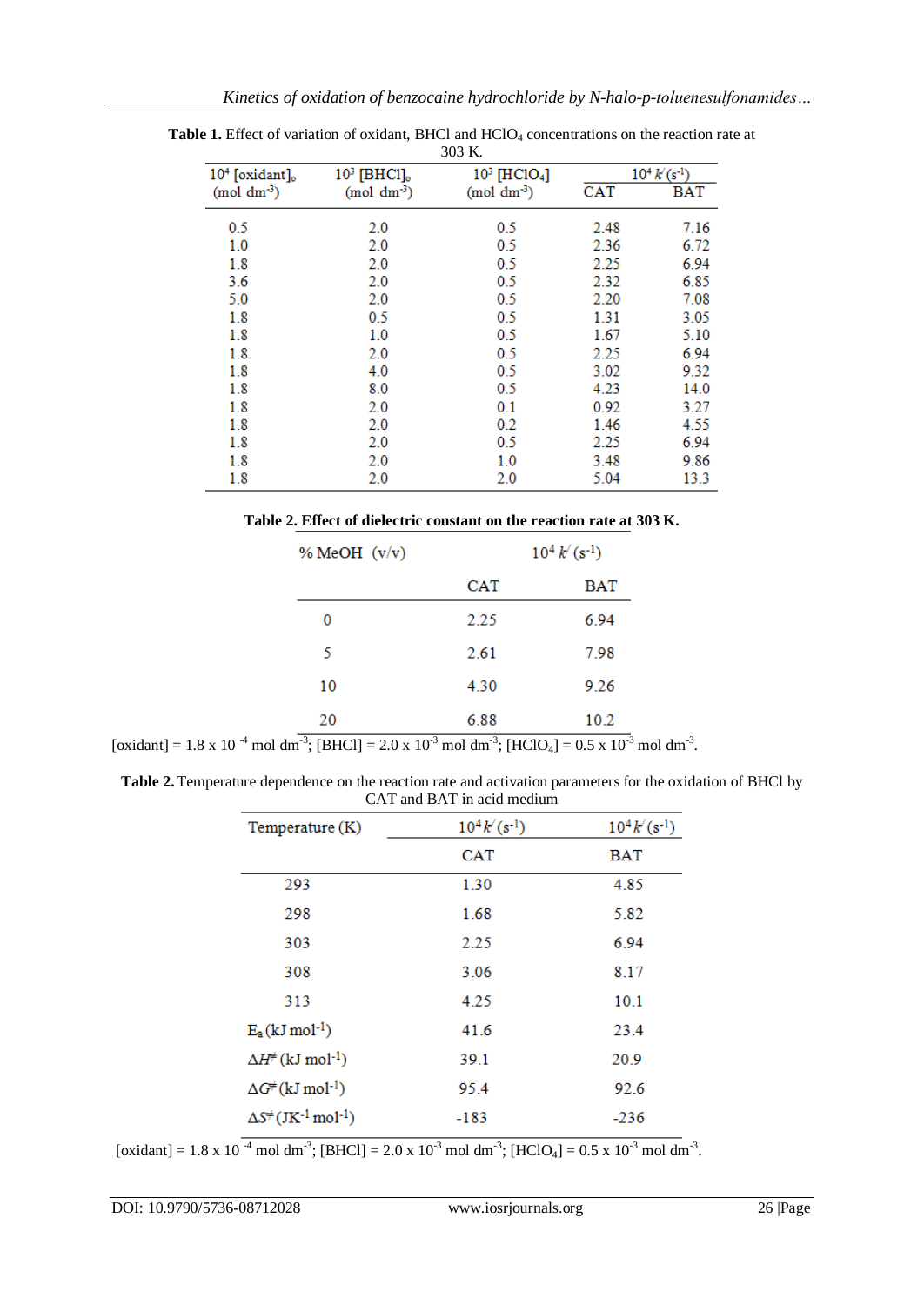| 303 K.              |                   |                             |            |                   |  |
|---------------------|-------------------|-----------------------------|------------|-------------------|--|
| $104$ [oxidant] $o$ | $103$ [BHCl] $_o$ | $10^3$ [HClO <sub>4</sub> ] |            | $10^4 k (s^{-1})$ |  |
| $(mod dm-3)$        | $(mod \ dm^{-3})$ | $(mod \text{ dm}^{3})$      | <b>CAT</b> | BAT               |  |
| 0.5                 | 2.0               | 0.5                         | 2.48       | 7.16              |  |
| 1.0                 | 2.0               | 0.5                         | 2.36       | 6.72              |  |
| 1.8                 | 2.0               | 0.5                         | 2.25       | 6.94              |  |
| 3.6                 | 2.0               | 0.5                         | 2.32       | 6.85              |  |
| 5.0                 | 2.0               | 0.5                         | 2.20       | 7.08              |  |
| 1.8                 | 0.5               | 0.5                         | 1.31       | 3.05              |  |
| 1.8                 | 1.0               | 0.5                         | 1.67       | 5.10              |  |
| 1.8                 | 2.0               | 0.5                         | 2.25       | 6.94              |  |
| 1.8                 | 4.0               | 0.5                         | 3.02       | 9.32              |  |
| 1.8                 | 8.0               | 0.5                         | 4.23       | 14.0              |  |
| 1.8                 | 2.0               | 0.1                         | 0.92       | 3.27              |  |
| 1.8                 | 2.0               | 0.2                         | 1.46       | 4.55              |  |
| 1.8                 | 2.0               | 0.5                         | 2.25       | 6.94              |  |
| 1.8                 | 2.0               | 1.0                         | 3.48       | 9.86              |  |
| 1.8                 | 2.0               | 2.0                         | 5.04       | 13.3              |  |

**Table 1.** Effect of variation of oxidant, BHCl and HClO<sub>4</sub> concentrations on the reaction rate at

| Table 2. Effect of dielectric constant on the reaction rate at 303 K. |  |  |  |  |
|-----------------------------------------------------------------------|--|--|--|--|
|-----------------------------------------------------------------------|--|--|--|--|

| % MeOH $(v/v)$ |      | $10^4 k'(s^{-1})$ |  |
|----------------|------|-------------------|--|
|                | CAT  | <b>BAT</b>        |  |
| 0              | 2.25 | 6.94              |  |
| 5              | 2.61 | 7.98              |  |
| 10             | 4.30 | 9.26              |  |
| 20<br>$-3$     | 6.88 | 10.2              |  |

[oxidant] = 1.8 x 10<sup>-4</sup> mol dm<sup>-3</sup>; [BHCl] = 2.0 x 10<sup>-3</sup> mol dm<sup>-3</sup>; [HClO<sub>4</sub>] = 0.5 x 10<sup>-3</sup> mol dm<sup>-3</sup>.

**Table 2.**Temperature dependence on the reaction rate and activation parameters for the oxidation of BHCl by CAT and BAT in acid medium

| Temperature $(K)$                                       | $10^4 k'(s^{-1})$ | $10^4 k'(s^{-1})$ |
|---------------------------------------------------------|-------------------|-------------------|
|                                                         | <b>CAT</b>        | <b>BAT</b>        |
| 293                                                     | 1.30              | 4.85              |
| 298                                                     | 1.68              | 5.82              |
| 303                                                     | 2.25              | 6.94              |
| 308                                                     | 3.06              | 8.17              |
| 313                                                     | 4.25              | 10.1              |
| $E_a(kJ \text{ mol}^{-1})$                              | 41.6              | 23.4              |
| $\Delta H^{\neq}$ (kJ mol <sup>-1</sup> )               | 39.1              | 20.9              |
| $\Delta G^{\neq}$ (kJ mol <sup>-1</sup> )               | 95.4              | 92.6              |
| $\Delta S^{\neq}$ (JK <sup>-1</sup> mol <sup>-1</sup> ) | -183              | $-236$            |

[oxidant] = 1.8 x 10<sup>-4</sup> mol dm<sup>-3</sup>; [BHCl] = 2.0 x 10<sup>-3</sup> mol dm<sup>-3</sup>; [HClO<sub>4</sub>] = 0.5 x 10<sup>-3</sup> mol dm<sup>-3</sup>.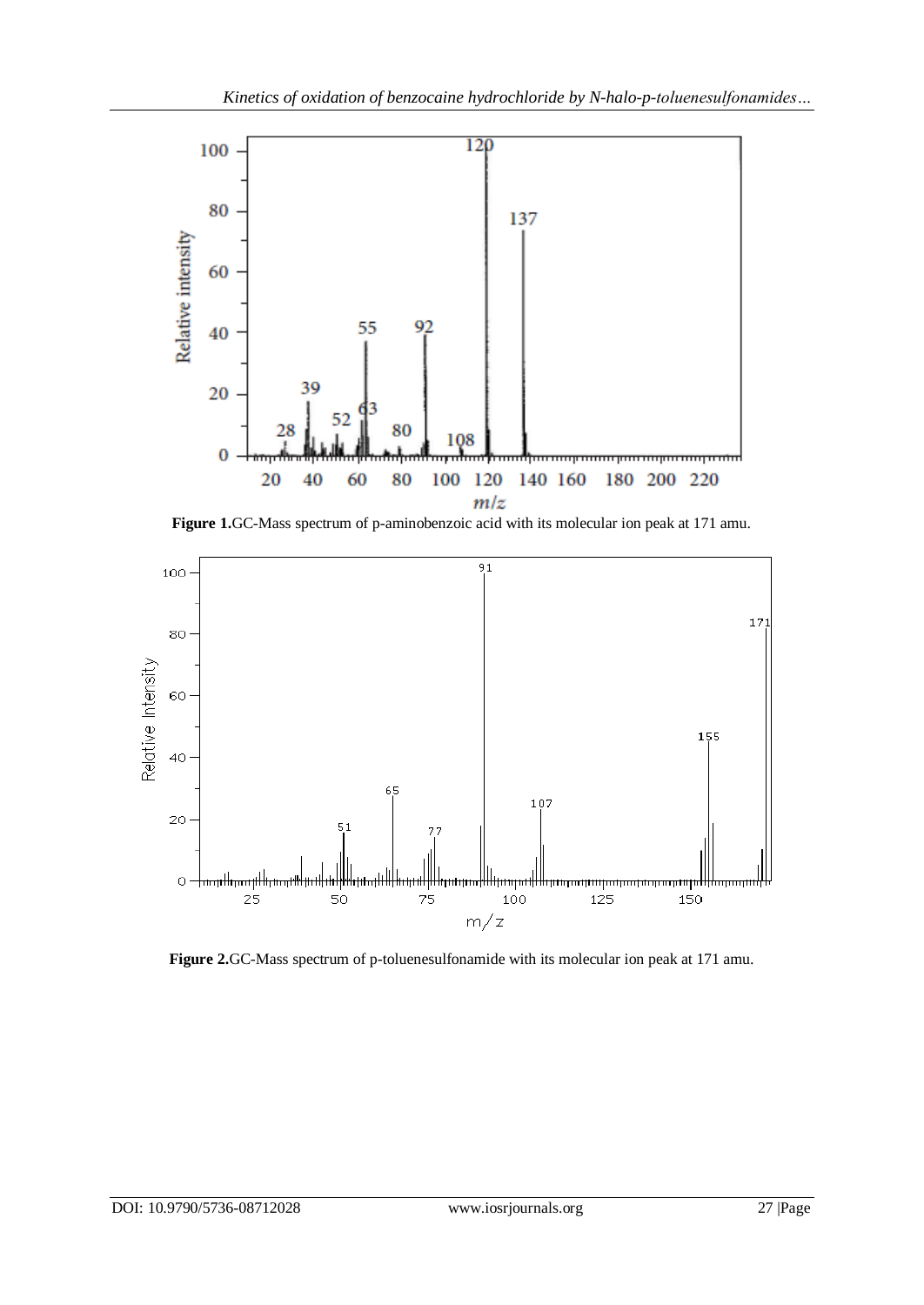

**Figure 1.**GC-Mass spectrum of p-aminobenzoic acid with its molecular ion peak at 171 amu.



**Figure 2.**GC-Mass spectrum of p-toluenesulfonamide with its molecular ion peak at 171 amu.